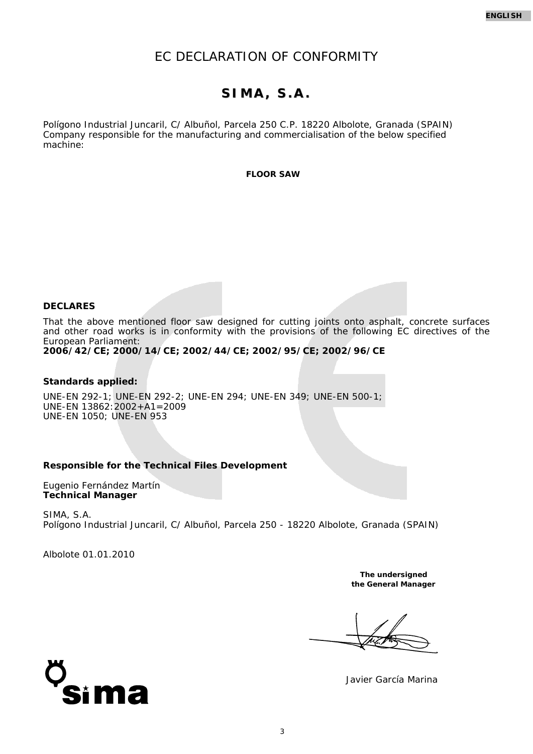# EC DECLARATION OF CONFORMITY

# **SI MA, S. A.**

<span id="page-0-0"></span>Polígono Industrial Juncaril, C/ Albuñol, Parcela 250 C.P. 18220 Albolote, Granada (SPAIN) Company responsible for the manufacturing and commercialisation of the below specified machine:

 **FLOOR SAW** 



That the above mentioned floor saw designed for cutting joints onto asphalt, concrete surfaces and other road works is in conformity with the provisions of the following EC directives of the European Parliament:

# **2006/42/CE; 2000/14/CE; 2002/44/CE; 2002/95/CE; 2002/96/CE**

## **Standards applied:**

UNE-EN 292-1; UNE-EN 292-2; UNE-EN 294; UNE-EN 349; UNE-EN 500-1; UNE-EN 13862:2002+A1=2009 UNE-EN 1050; UNE-EN 953

## **Responsible for the Technical Files Development**

Eugenio Fernández Martín **Technical Manager** 

SIMA, S.A. Polígono Industrial Juncaril, C/ Albuñol, Parcela 250 - 18220 Albolote, Granada (SPAIN)

Albolote 01.01.2010

 **The undersigned the General Manager**

Javier García Marina

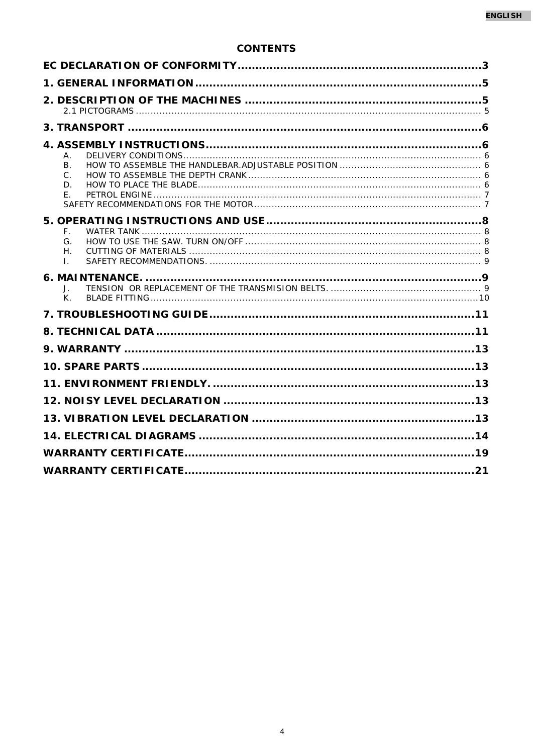# **CONTENTS**

| А.<br>В.<br>C.<br>D.<br>F. |  |
|----------------------------|--|
| F.<br>G.<br>Η.<br>Τ.       |  |
| J.<br>К.                   |  |
|                            |  |
|                            |  |
|                            |  |
|                            |  |
|                            |  |
|                            |  |
|                            |  |
|                            |  |
|                            |  |
|                            |  |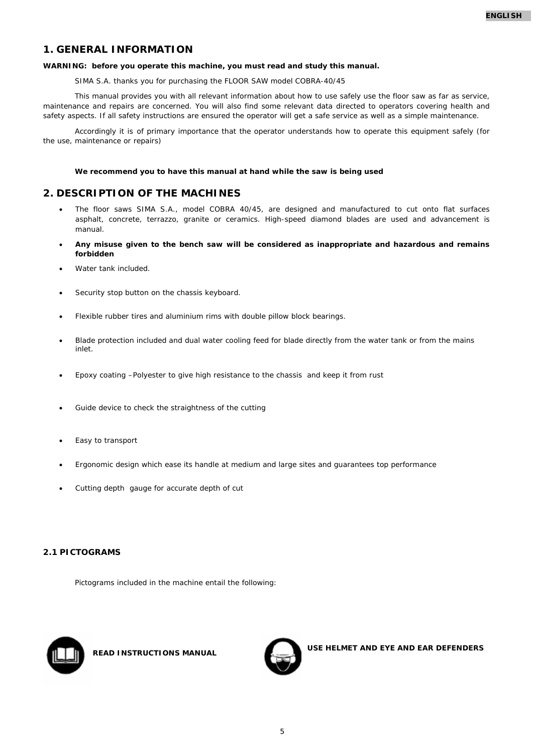## <span id="page-2-0"></span>**1. GENERAL INFORMATION**

#### **WARNING: before you operate this machine, you must read and study this manual.**

SIMA S.A. thanks you for purchasing the FLOOR SAW model COBRA-40/45

This manual provides you with all relevant information about how to use safely use the floor saw as far as service, maintenance and repairs are concerned. You will also find some relevant data directed to operators covering health and safety aspects. If all safety instructions are ensured the operator will get a safe service as well as a simple maintenance.

Accordingly it is of primary importance that the operator understands how to operate this equipment safely (for the use, maintenance or repairs)

#### **We recommend you to have this manual at hand while the saw is being used**

## **2. DESCRIPTION OF THE MACHINES**

- The floor saws SIMA S.A., model COBRA 40/45, are designed and manufactured to cut onto flat surfaces asphalt, concrete, terrazzo, granite or ceramics. High-speed diamond blades are used and advancement is manual.
- **Any misuse given to the bench saw will be considered as inappropriate and hazardous and remains forbidden**
- Water tank included.
- Security stop button on the chassis keyboard.
- Flexible rubber tires and aluminium rims with double pillow block bearings.
- Blade protection included and dual water cooling feed for blade directly from the water tank or from the mains inlet.
- Epoxy coating –Polyester to give high resistance to the chassis and keep it from rust
- Guide device to check the straightness of the cutting
- Easy to transport
- Ergonomic design which ease its handle at medium and large sites and guarantees top performance
- Cutting depth gauge for accurate depth of cut

## **2.1 PICTOGRAMS**

Pictograms included in the machine entail the following:





**USE HELMET AND EYE AND EAR DEFENDERS READ INSTRUCTIONS MANUAL**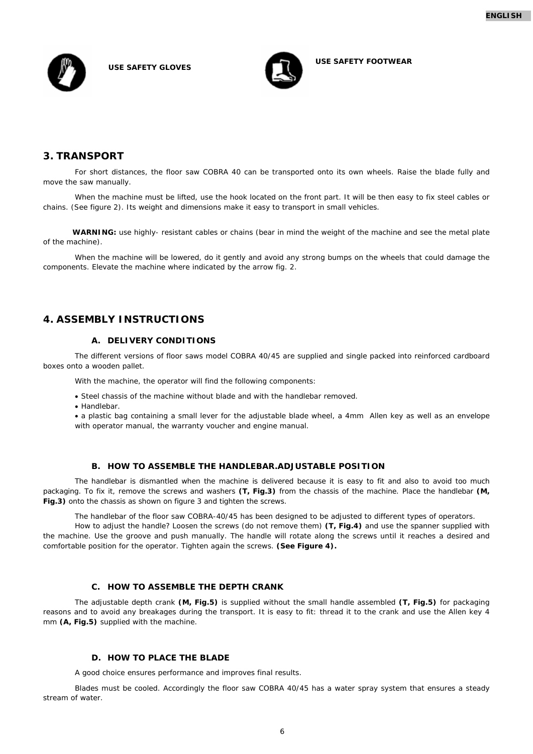<span id="page-3-0"></span>

**USE SAFETY GLOVES** 



**USE SAFETY FOOTWEAR**

## **3. TRANSPORT**

For short distances, the floor saw COBRA 40 can be transported onto its own wheels. Raise the blade fully and move the saw manually.

When the machine must be lifted, use the hook located on the front part. It will be then easy to fix steel cables or chains. (See figure 2). Its weight and dimensions make it easy to transport in small vehicles.

 **WARNING:** use highly- resistant cables or chains (bear in mind the weight of the machine and see the metal plate of the machine).

When the machine will be lowered, do it gently and avoid any strong bumps on the wheels that could damage the components. Elevate the machine where indicated by the arrow fig. 2.

## **4. ASSEMBLY INSTRUCTIONS**

### **A. DELIVERY CONDITIONS**

The different versions of floor saws model COBRA 40/45 are supplied and single packed into reinforced cardboard boxes onto a wooden pallet.

With the machine, the operator will find the following components:

• Steel chassis of the machine without blade and with the handlebar removed.

• Handlebar.

• a plastic bag containing a small lever for the adjustable blade wheel, a 4mm Allen key as well as an envelope with operator manual, the warranty voucher and engine manual.

#### **B. HOW TO ASSEMBLE THE HANDLEBAR.ADJUSTABLE POSITION**

The handlebar is dismantled when the machine is delivered because it is easy to fit and also to avoid too much packaging. To fix it, remove the screws and washers **(T, Fig.3)** from the chassis of the machine. Place the handlebar **(M, Fig.3)** onto the chassis as shown on figure 3 and tighten the screws.

The handlebar of the floor saw COBRA-40/45 has been designed to be adjusted to different types of operators.

How to adjust the handle? Loosen the screws (do not remove them) **(T, Fig.4)** and use the spanner supplied with the machine. Use the groove and push manually. The handle will rotate along the screws until it reaches a desired and comfortable position for the operator. Tighten again the screws. **(See Figure 4).** 

## **C. HOW TO ASSEMBLE THE DEPTH CRANK**

The adjustable depth crank **(M, Fig.5)** is supplied without the small handle assembled **(T, Fig.5)** for packaging reasons and to avoid any breakages during the transport. It is easy to fit: thread it to the crank and use the Allen key 4 mm **(A, Fig.5)** supplied with the machine.

## **D. HOW TO PLACE THE BLADE**

A good choice ensures performance and improves final results.

Blades must be cooled. Accordingly the floor saw COBRA 40/45 has a water spray system that ensures a steady stream of water.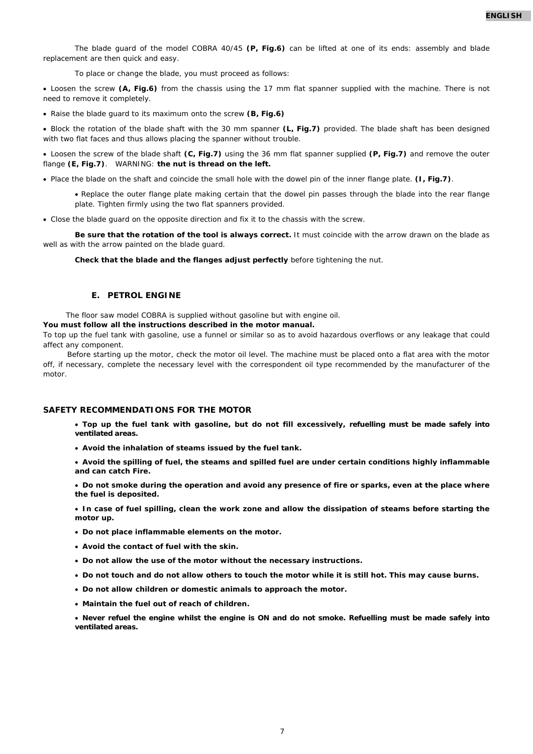<span id="page-4-0"></span>The blade guard of the model COBRA 40/45 **(P, Fig.6)** can be lifted at one of its ends: assembly and blade replacement are then quick and easy.

To place or change the blade, you must proceed as follows:

• Loosen the screw **(A, Fig.6)** from the chassis using the 17 mm flat spanner supplied with the machine. There is not need to remove it completely.

• Raise the blade guard to its maximum onto the screw **(B, Fig.6)** 

• Block the rotation of the blade shaft with the 30 mm spanner **(L, Fig.7)** provided. The blade shaft has been designed with two flat faces and thus allows placing the spanner without trouble.

• Loosen the screw of the blade shaft **(C, Fig.7)** using the 36 mm flat spanner supplied **(P, Fig.7)** and remove the outer flange **(E, Fig.7)**. WARNING: **the nut is thread on the left.** 

• Place the blade on the shaft and coincide the small hole with the dowel pin of the inner flange plate. **(I, Fig.7)**.

• Replace the outer flange plate making certain that the dowel pin passes through the blade into the rear flange plate. Tighten firmly using the two flat spanners provided.

• Close the blade guard on the opposite direction and fix it to the chassis with the screw.

**Be sure that the rotation of the tool is always correct.** It must coincide with the arrow drawn on the blade as well as with the arrow painted on the blade guard.

**Check that the blade and the flanges adjust perfectly** before tightening the nut.

## **E. PETROL ENGINE**

The floor saw model COBRA is supplied without gasoline but with engine oil.

**You must follow all the instructions described in the motor manual.** 

To top up the fuel tank with gasoline, use a funnel or similar so as to avoid hazardous overflows or any leakage that could affect any component.

Before starting up the motor, check the motor oil level. The machine must be placed onto a flat area with the motor off, if necessary, complete the necessary level with the correspondent oil type recommended by the manufacturer of the motor.

#### **SAFETY RECOMMENDATIONS FOR THE MOTOR**

- **Top up the fuel tank with gasoline, but do not fill excessively, refuelling must be made safely into ventilated areas.**
- **Avoid the inhalation of steams issued by the fuel tank.**
- **Avoid the spilling of fuel, the steams and spilled fuel are under certain conditions highly inflammable and can catch Fire.**

• **Do not smoke during the operation and avoid any presence of fire or sparks, even at the place where the fuel is deposited.** 

• **In case of fuel spilling, clean the work zone and allow the dissipation of steams before starting the motor up.** 

- **Do not place inflammable elements on the motor.**
- **Avoid the contact of fuel with the skin.**
- **Do not allow the use of the motor without the necessary instructions.**
- **Do not touch and do not allow others to touch the motor while it is still hot. This may cause burns.**
- **Do not allow children or domestic animals to approach the motor.**
- **Maintain the fuel out of reach of children.**

• **Never refuel the engine whilst the engine is ON and do not smoke. Refuelling must be made safely into ventilated areas.**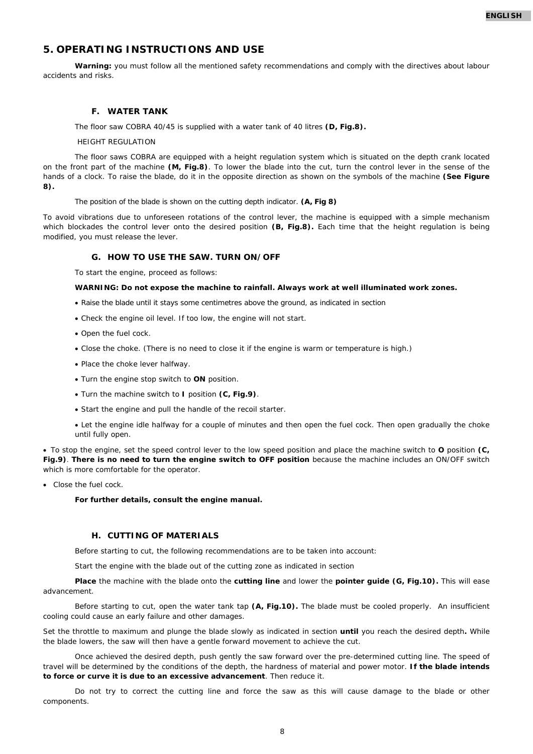**ENGLISH** 

## <span id="page-5-0"></span>**5. OPERATING INSTRUCTIONS AND USE**

**Warning:** you must follow all the mentioned safety recommendations and comply with the directives about labour accidents and risks.

#### **F. WATER TANK**

The floor saw COBRA 40/45 is supplied with a water tank of 40 litres **(D, Fig.8).**

#### HEIGHT REGULATION

The floor saws COBRA are equipped with a height regulation system which is situated on the depth crank located on the front part of the machine **(M, Fig.8)**. To lower the blade into the cut, turn the control lever in the sense of the hands of a clock. To raise the blade, do it in the opposite direction as shown on the symbols of the machine **(See Figure 8).** 

The position of the blade is shown on the cutting depth indicator. **(A, Fig 8)** 

To avoid vibrations due to unforeseen rotations of the control lever, the machine is equipped with a simple mechanism which blockades the control lever onto the desired position (B, Fig.8). Each time that the height regulation is being modified, you must release the lever.

#### **G. HOW TO USE THE SAW. TURN ON/OFF**

To start the engine, proceed as follows:

#### **WARNING: Do not expose the machine to rainfall. Always work at well illuminated work zones.**

- Raise the blade until it stays some centimetres above the ground, as indicated in section
- Check the engine oil level. If too low, the engine will not start.
- Open the fuel cock.
- Close the choke. (There is no need to close it if the engine is warm or temperature is high.)
- Place the choke lever halfway.
- Turn the engine stop switch to **ON** position.
- Turn the machine switch to **I** position **(C, Fig.9)**.
- Start the engine and pull the handle of the recoil starter.

• Let the engine idle halfway for a couple of minutes and then open the fuel cock. Then open gradually the choke until fully open.

• To stop the engine, set the speed control lever to the low speed position and place the machine switch to **O** position **(C, Fig.9)**. **There is no need to turn the engine switch to OFF position** because the machine includes an ON/OFF switch which is more comfortable for the operator.

• Close the fuel cock.

**For further details, consult the engine manual.** 

## **H. CUTTING OF MATERIALS**

Before starting to cut, the following recommendations are to be taken into account:

Start the engine with the blade out of the cutting zone as indicated in section

**Place** the machine with the blade onto the **cutting line** and lower the **pointer guide (G, Fig.10).** This will ease advancement.

Before starting to cut, open the water tank tap **(A, Fig.10).** The blade must be cooled properly. An insufficient cooling could cause an early failure and other damages.

Set the throttle to maximum and plunge the blade slowly as indicated in section **until** you reach the desired depth**.** While the blade lowers, the saw will then have a gentle forward movement to achieve the cut.

Once achieved the desired depth, push gently the saw forward over the pre-determined cutting line. The speed of travel will be determined by the conditions of the depth, the hardness of material and power motor. **If the blade intends to force or curve it is due to an excessive advancement**. Then reduce it.

Do not try to correct the cutting line and force the saw as this will cause damage to the blade or other components.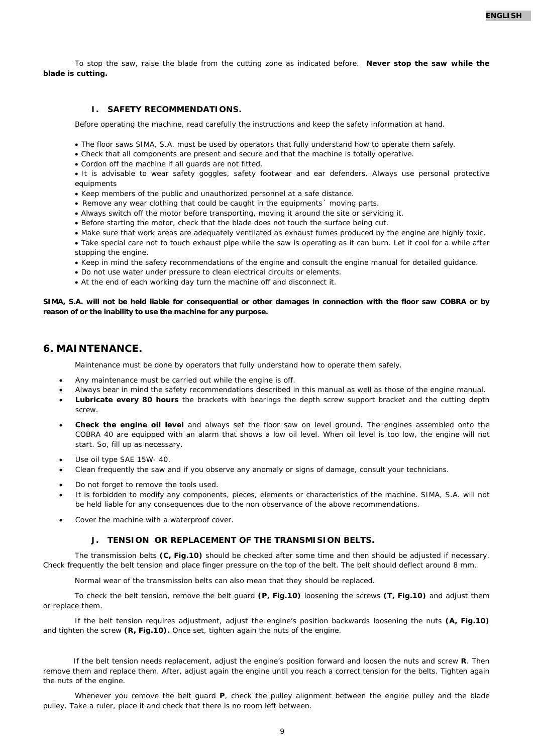<span id="page-6-0"></span>To stop the saw, raise the blade from the cutting zone as indicated before. **Never stop the saw while the blade is cutting.** 

#### **I. SAFETY RECOMMENDATIONS.**

Before operating the machine, read carefully the instructions and keep the safety information at hand.

- The floor saws SIMA, S.A. must be used by operators that fully understand how to operate them safely.
- Check that all components are present and secure and that the machine is totally operative.
- Cordon off the machine if all guards are not fitted.

• It is advisable to wear safety goggles, safety footwear and ear defenders. Always use personal protective equipments

- Keep members of the public and unauthorized personnel at a safe distance.
- Remove any wear clothing that could be caught in the equipments  $\zeta$  moving parts.
- Always switch off the motor before transporting, moving it around the site or servicing it.
- Before starting the motor, check that the blade does not touch the surface being cut.
- Make sure that work areas are adequately ventilated as exhaust fumes produced by the engine are highly toxic.
- Take special care not to touch exhaust pipe while the saw is operating as it can burn. Let it cool for a while after stopping the engine.
- Keep in mind the safety recommendations of the engine and consult the engine manual for detailed guidance.
- Do not use water under pressure to clean electrical circuits or elements.
- At the end of each working day turn the machine off and disconnect it.

#### **SIMA, S.A. will not be held liable for consequential or other damages in connection with the floor saw COBRA or by reason of or the inability to use the machine for any purpose.**

## **6. MAINTENANCE.**

Maintenance must be done by operators that fully understand how to operate them safely.

- Any maintenance must be carried out while the engine is off.
- Always bear in mind the safety recommendations described in this manual as well as those of the engine manual.
- **Lubricate every 80 hours** the brackets with bearings the depth screw support bracket and the cutting depth screw.
- **Check the engine oil level** and always set the floor saw on level ground. The engines assembled onto the COBRA 40 are equipped with an alarm that shows a low oil level. When oil level is too low, the engine will not start. So, fill up as necessary.
- Use oil type SAE 15W- 40.
- Clean frequently the saw and if you observe any anomaly or signs of damage, consult your technicians.
- Do not forget to remove the tools used.
- It is forbidden to modify any components, pieces, elements or characteristics of the machine. SIMA, S.A. will not be held liable for any consequences due to the non observance of the above recommendations.
- Cover the machine with a waterproof cover.

#### **J. TENSION OR REPLACEMENT OF THE TRANSMISION BELTS.**

The transmission belts **(C, Fig.10)** should be checked after some time and then should be adjusted if necessary. Check frequently the belt tension and place finger pressure on the top of the belt. The belt should deflect around 8 mm.

Normal wear of the transmission belts can also mean that they should be replaced.

To check the belt tension, remove the belt guard **(P, Fig.10)** loosening the screws **(T, Fig.10)** and adjust them or replace them.

If the belt tension requires adjustment, adjust the engine's position backwards loosening the nuts **(A, Fig.10)** and tighten the screw **(R, Fig.10).** Once set, tighten again the nuts of the engine.

 If the belt tension needs replacement, adjust the engine's position forward and loosen the nuts and screw **R**. Then remove them and replace them. After, adjust again the engine until you reach a correct tension for the belts. Tighten again the nuts of the engine.

Whenever you remove the belt guard **P**, check the pulley alignment between the engine pulley and the blade pulley. Take a ruler, place it and check that there is no room left between.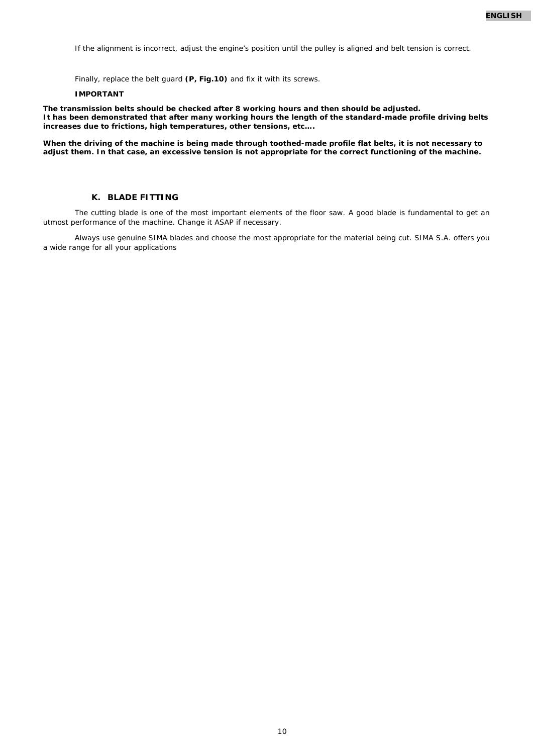<span id="page-7-0"></span>If the alignment is incorrect, adjust the engine's position until the pulley is aligned and belt tension is correct.

Finally, replace the belt guard **(P, Fig.10)** and fix it with its screws.

#### **IMPORTANT**

**The transmission belts should be checked after 8 working hours and then should be adjusted. It has been demonstrated that after many working hours the length of the standard-made profile driving belts increases due to frictions, high temperatures, other tensions, etc….** 

**When the driving of the machine is being made through toothed-made profile flat belts, it is not necessary to adjust them. In that case, an excessive tension is not appropriate for the correct functioning of the machine.** 

## **K. BLADE FITTING**

The cutting blade is one of the most important elements of the floor saw. A good blade is fundamental to get an utmost performance of the machine. Change it ASAP if necessary.

Always use genuine SIMA blades and choose the most appropriate for the material being cut. SIMA S.A. offers you a wide range for all your applications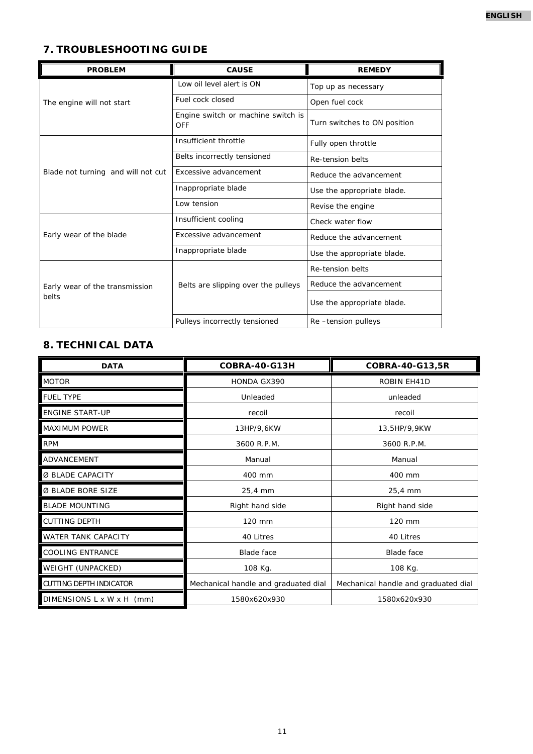# <span id="page-8-0"></span>**7. TROUBLESHOOTING GUIDE**

| <b>PROBLEM</b>                     | <b>CAUSE</b>                              | <b>REMEDY</b>                |
|------------------------------------|-------------------------------------------|------------------------------|
|                                    | Low oil level alert is ON                 | Top up as necessary          |
| The engine will not start          | Fuel cock closed                          | Open fuel cock               |
|                                    | Engine switch or machine switch is<br>OFF | Turn switches to ON position |
|                                    | Insufficient throttle                     | Fully open throttle          |
|                                    | Belts incorrectly tensioned               | Re-tension belts             |
| Blade not turning and will not cut | Excessive advancement                     | Reduce the advancement       |
|                                    | Inappropriate blade                       | Use the appropriate blade.   |
|                                    | Low tension                               | Revise the engine            |
|                                    | Insufficient cooling                      | Check water flow             |
| Early wear of the blade            | Excessive advancement                     | Reduce the advancement       |
|                                    | Inappropriate blade                       | Use the appropriate blade.   |
|                                    |                                           | Re-tension belts             |
| Early wear of the transmission     | Belts are slipping over the pulleys       | Reduce the advancement       |
| belts                              |                                           | Use the appropriate blade.   |
|                                    | Pulleys incorrectly tensioned             | Re-tension pulleys           |

# **8. TECHNICAL DATA**

| <b>DATA</b>                    | <b>COBRA-40-G13H</b>                 | COBRA-40-G13,5R                      |
|--------------------------------|--------------------------------------|--------------------------------------|
| <b>MOTOR</b>                   | HONDA GX390                          | ROBIN EH41D                          |
| <b>FUEL TYPE</b>               | Unleaded                             | unleaded                             |
| <b>ENGINE START-UP</b>         | recoil                               | recoil                               |
| <b>MAXIMUM POWER</b>           | 13HP/9,6KW                           | 13,5HP/9,9KW                         |
| <b>RPM</b>                     | 3600 R.P.M.                          | 3600 R.P.M.                          |
| ADVANCEMENT                    | Manual                               | Manual                               |
| Ø BLADE CAPACITY               | 400 mm                               | 400 mm                               |
| Ø BLADE BORE SIZE              | 25,4 mm                              | 25,4 mm                              |
| <b>BLADE MOUNTING</b>          | Right hand side                      | Right hand side                      |
| <b>CUTTING DEPTH</b>           | 120 mm                               | 120 mm                               |
| <b>WATER TANK CAPACITY</b>     | 40 Litres                            | 40 Litres                            |
| <b>COOLING ENTRANCE</b>        | <b>Blade face</b>                    | <b>Blade face</b>                    |
| WEIGHT (UNPACKED)              | 108 Kg.                              | 108 Kg.                              |
| <b>CUTTING DEPTH INDICATOR</b> | Mechanical handle and graduated dial | Mechanical handle and graduated dial |
| DIMENSIONS L x W x H (mm)      | 1580x620x930                         | 1580x620x930                         |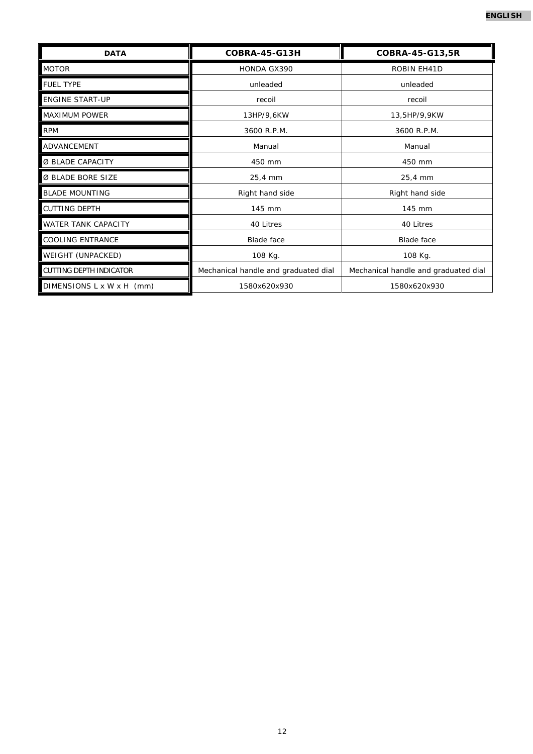| <b>DATA</b>                    | <b>COBRA-45-G13H</b>                 | COBRA-45-G13,5R                      |
|--------------------------------|--------------------------------------|--------------------------------------|
| <b>MOTOR</b>                   | HONDA GX390                          | ROBIN EH41D                          |
| <b>FUEL TYPE</b>               | unleaded                             | unleaded                             |
| <b>ENGINE START-UP</b>         | recoil                               | recoil                               |
| <b>MAXIMUM POWER</b>           | 13HP/9,6KW                           | 13,5HP/9,9KW                         |
| <b>RPM</b>                     | 3600 R.P.M.                          | 3600 R.P.M.                          |
| ADVANCEMENT                    | Manual                               | Manual                               |
| Ø BLADE CAPACITY               | 450 mm                               | 450 mm                               |
| Ø BLADE BORE SIZE              | 25,4 mm                              | 25,4 mm                              |
| <b>BLADE MOUNTING</b>          | Right hand side                      | Right hand side                      |
| <b>CUTTING DEPTH</b>           | 145 mm                               | 145 mm                               |
| WATER TANK CAPACITY            | 40 Litres                            | 40 Litres                            |
| <b>COOLING ENTRANCE</b>        | <b>Blade</b> face                    | <b>Blade</b> face                    |
| WEIGHT (UNPACKED)              | 108 Kg.                              | 108 Kg.                              |
| <b>CUTTING DEPTH INDICATOR</b> | Mechanical handle and graduated dial | Mechanical handle and graduated dial |
| DIMENSIONS L x W x H (mm)      | 1580x620x930                         | 1580x620x930                         |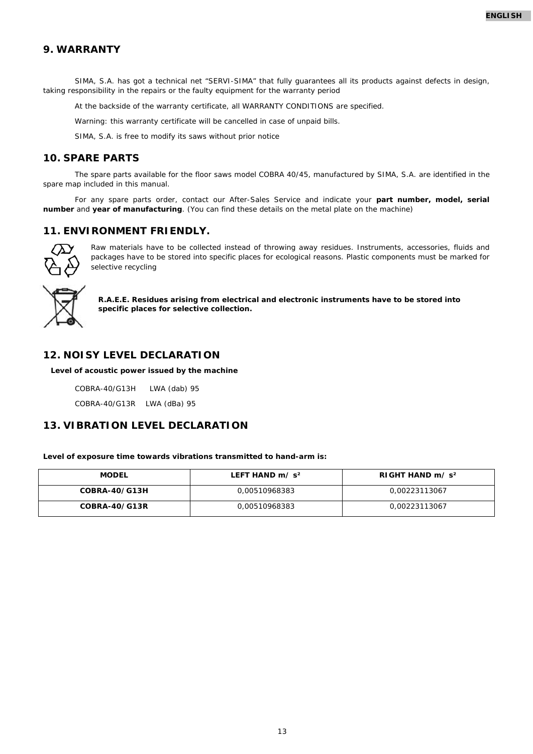## <span id="page-10-0"></span>**9. WARRANTY**

SIMA, S.A. has got a technical net "SERVI-SIMA" that fully guarantees all its products against defects in design, taking responsibility in the repairs or the faulty equipment for the warranty period

At the backside of the warranty certificate, all WARRANTY CONDITIONS are specified.

Warning: this warranty certificate will be cancelled in case of unpaid bills.

SIMA, S.A. is free to modify its saws without prior notice

## **10. SPARE PARTS**

The spare parts available for the floor saws model COBRA 40/45, manufactured by SIMA, S.A. are identified in the spare map included in this manual.

For any spare parts order, contact our After-Sales Service and indicate your **part number, model, serial number** and **year of manufacturing**. (You can find these details on the metal plate on the machine)

## **11. ENVIRONMENT FRIENDLY.**



Raw materials have to be collected instead of throwing away residues. Instruments, accessories, fluids and packages have to be stored into specific places for ecological reasons. Plastic components must be marked for selective recycling



**R.A.E.E. Residues arising from electrical and electronic instruments have to be stored into specific places for selective collection.** 

## **12. NOISY LEVEL DECLARATION**

**Level of acoustic power issued by the machine** 

COBRA-40/G13H LWA (dab) 95 COBRA-40/G13R LWA (dBa) 95

## **13. VIBRATION LEVEL DECLARATION**

**Level of exposure time towards vibrations transmitted to hand-arm is:** 

| <b>MODEL</b>  | LEFT HAND $m/s^2$ | RIGHT HAND $m/s^2$ |
|---------------|-------------------|--------------------|
| COBRA-40/G13H | 0.00510968383     | 0.00223113067      |
| COBRA-40/G13R | 0.00510968383     | 0.00223113067      |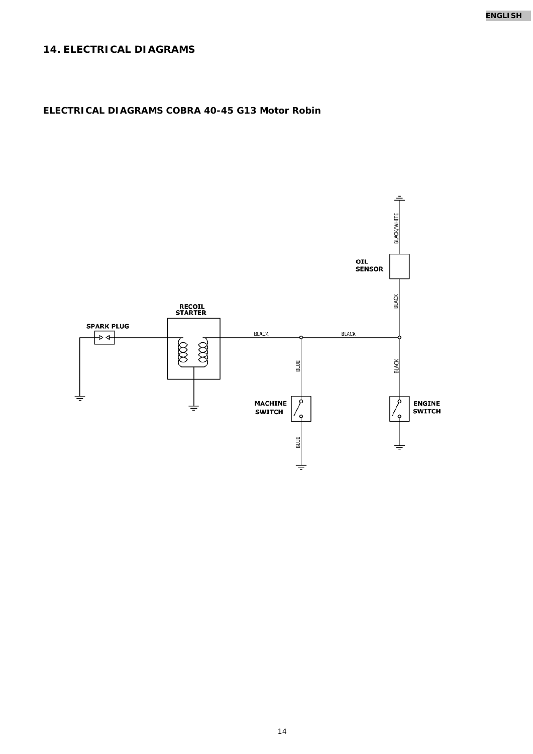# <span id="page-11-0"></span>**14. ELECTRICAL DIAGRAMS**

## **ELECTRICAL DIAGRAMS COBRA 40-45 G13 Motor Robin**

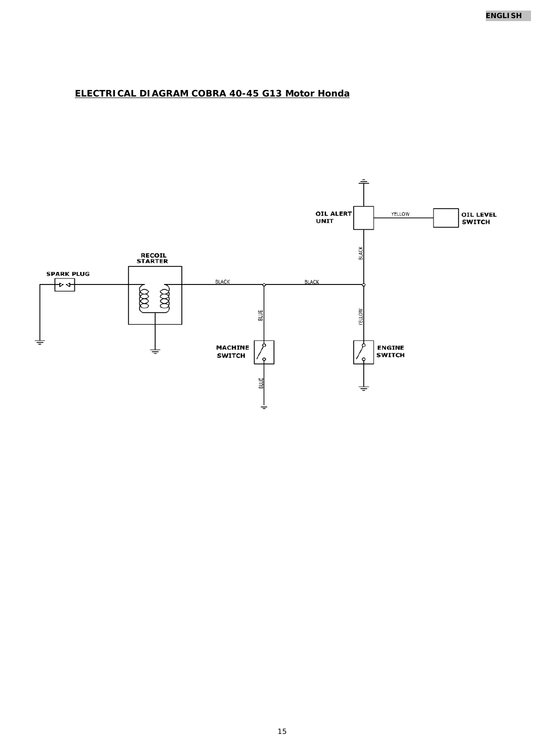## **ELECTRICAL DIAGRAM COBRA 40-45 G13 Motor Honda**

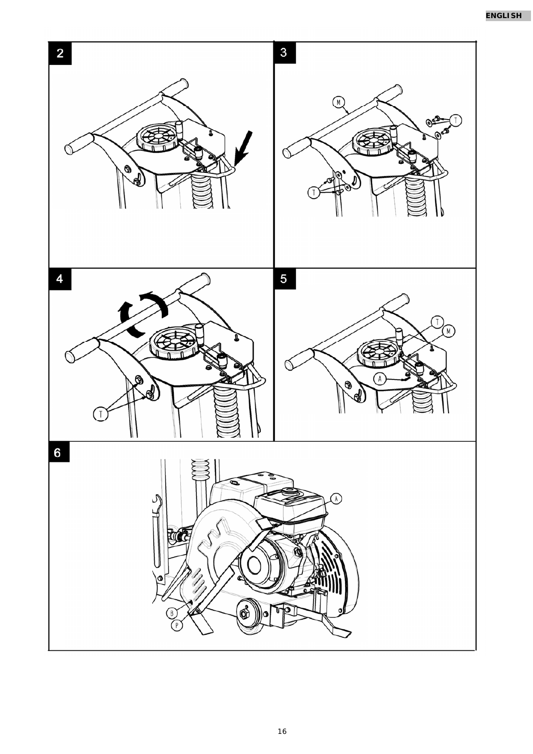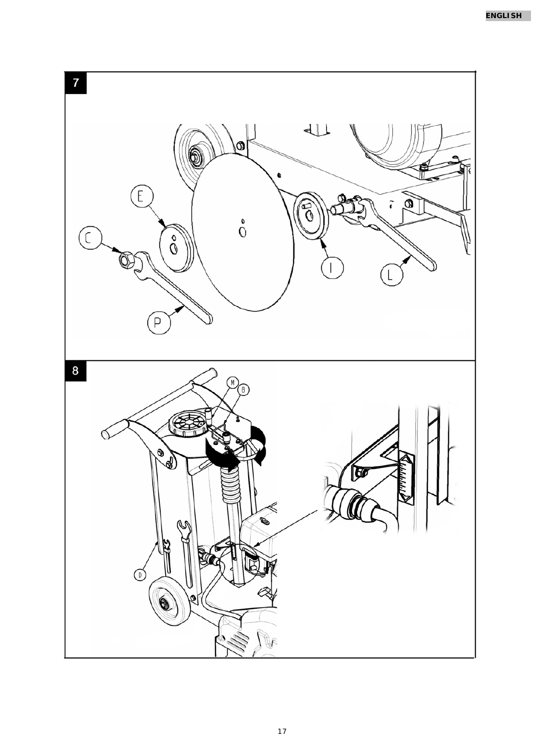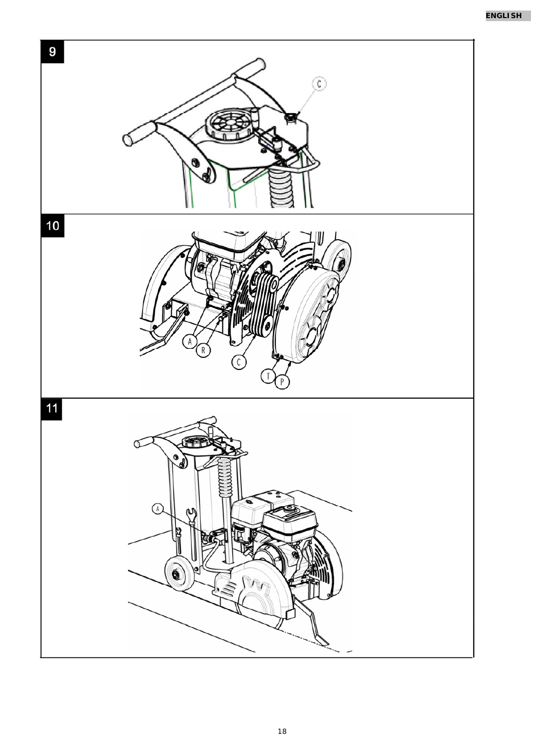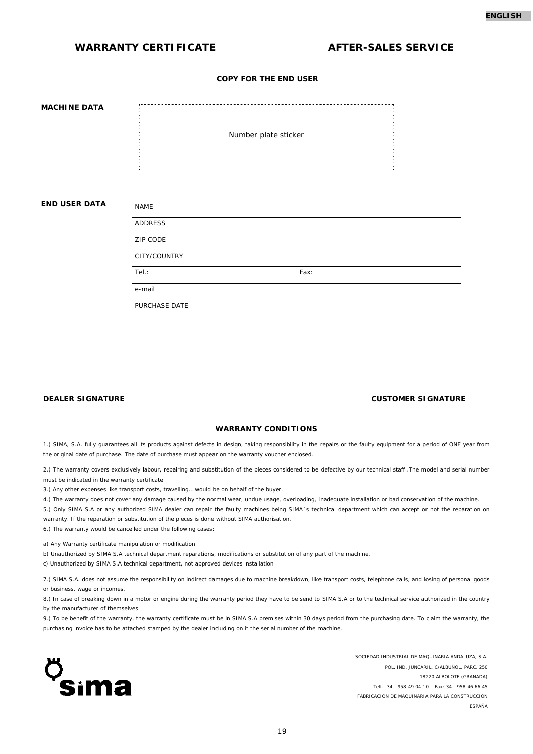# <span id="page-16-0"></span>WARRANTY CERTIFICATE **AFTER-SALES SERVICE**

## **COPY FOR THE END USER**

| <b>MACHINE DATA</b> |                      |  |
|---------------------|----------------------|--|
|                     |                      |  |
|                     |                      |  |
|                     |                      |  |
|                     |                      |  |
|                     |                      |  |
|                     |                      |  |
|                     |                      |  |
|                     | Number plate sticker |  |
|                     |                      |  |
|                     |                      |  |
|                     |                      |  |
|                     |                      |  |
|                     |                      |  |
|                     |                      |  |
|                     |                      |  |
|                     |                      |  |
|                     |                      |  |
|                     |                      |  |

## **END USER DATA** NAME

| <b>ADDRESS</b> |      |  |
|----------------|------|--|
| ZIP CODE       |      |  |
| CITY/COUNTRY   |      |  |
| Tel.:          | Fax: |  |
|                |      |  |
| e-mail         |      |  |

## **DEALER SIGNATURE CUSTOMER SIGNATURE**

#### **WARRANTY CONDITIONS**

1.) SIMA, S.A. fully guarantees all its products against defects in design, taking responsibility in the repairs or the faulty equipment for a period of ONE year from the original date of purchase. The date of purchase must appear on the warranty voucher enclosed.

2.) The warranty covers exclusively labour, repairing and substitution of the pieces considered to be defective by our technical staff .The model and serial number must be indicated in the warranty certificate

3.) Any other expenses like transport costs, travelling… would be on behalf of the buyer.

4.) The warranty does not cover any damage caused by the normal wear, undue usage, overloading, inadequate installation or bad conservation of the machine.

5.) Only SIMA S.A or any authorized SIMA dealer can repair the faulty machines being SIMA´s technical department which can accept or not the reparation on warranty. If the reparation or substitution of the pieces is done without SIMA authorisation.

6.) The warranty would be cancelled under the following cases:

a) Any Warranty certificate manipulation or modification

b) Unauthorized by SIMA S.A technical department reparations, modifications or substitution of any part of the machine.

c) Unauthorized by SIMA S.A technical department, not approved devices installation

7.) SIMA S.A. does not assume the responsibility on indirect damages due to machine breakdown, like transport costs, telephone calls, and losing of personal goods or business, wage or incomes.

8.) In case of breaking down in a motor or engine during the warranty period they have to be send to SIMA S.A or to the technical service authorized in the country by the manufacturer of themselves

9.) To be benefit of the warranty, the warranty certificate must be in SIMA S.A premises within 30 days period from the purchasing date. To claim the warranty, the purchasing invoice has to be attached stamped by the dealer including on it the serial number of the machine.



SOCIEDAD INDUSTRIAL DE MAQUINARIA ANDALUZA, S.A. POL. IND. JUNCARIL, C/ALBUÑOL, PARC. 250 18220 ALBOLOTE (GRANADA) Telf.: 34 - 958-49 04 10 – Fax: 34 - 958-46 66 45 FABRICACIÓN DE MAQUINARIA PARA LA CONSTRUCCIÓN ESPAÑA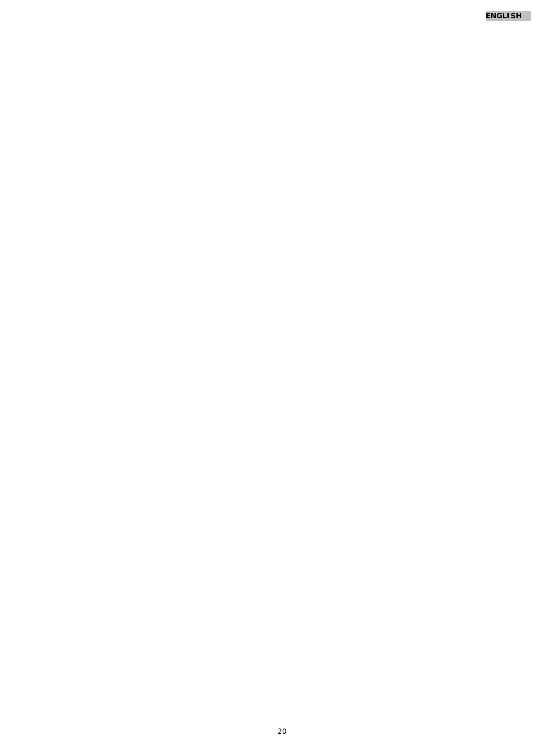**ENGLISH**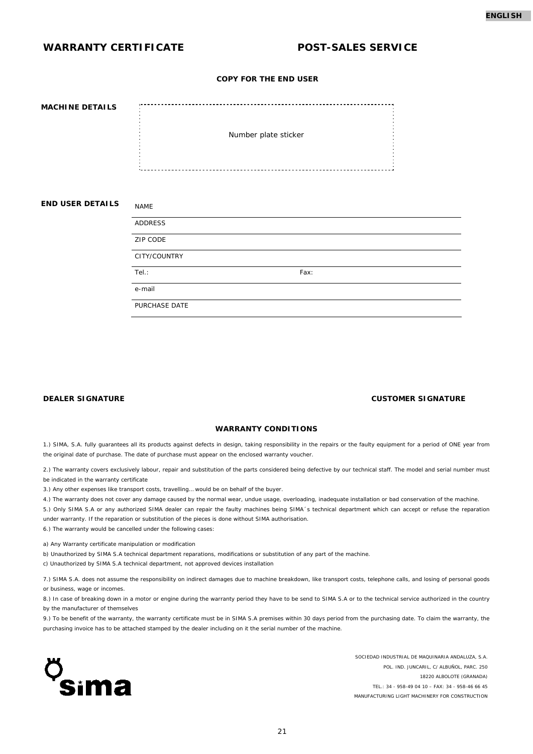## <span id="page-18-0"></span>**WARRANTY CERTIFICATE POST-SALES SERVICE**

## **COPY FOR THE END USER**

| <b>MACHINE DETAILS</b> |                      |  |
|------------------------|----------------------|--|
|                        |                      |  |
|                        |                      |  |
|                        |                      |  |
|                        |                      |  |
|                        |                      |  |
|                        |                      |  |
|                        |                      |  |
|                        | Number plate sticker |  |
|                        |                      |  |
|                        |                      |  |
|                        |                      |  |
|                        |                      |  |
|                        |                      |  |
|                        |                      |  |
|                        |                      |  |
|                        |                      |  |
|                        |                      |  |
|                        |                      |  |

## **END USER DETAILS** NAME

| <b>ADDRESS</b> |      |  |
|----------------|------|--|
| ZIP CODE       |      |  |
| CITY/COUNTRY   |      |  |
|                |      |  |
| Tel.:          | Fax: |  |
| e-mail         |      |  |

## **DEALER SIGNATURE CUSTOMER SIGNATURE**

## **WARRANTY CONDITIONS**

1.) SIMA, S.A. fully guarantees all its products against defects in design, taking responsibility in the repairs or the faulty equipment for a period of ONE year from the original date of purchase. The date of purchase must appear on the enclosed warranty voucher.

2.) The warranty covers exclusively labour, repair and substitution of the parts considered being defective by our technical staff. The model and serial number must be indicated in the warranty certificate

3.) Any other expenses like transport costs, travelling… would be on behalf of the buyer.

4.) The warranty does not cover any damage caused by the normal wear, undue usage, overloading, inadequate installation or bad conservation of the machine.

5.) Only SIMA S.A or any authorized SIMA dealer can repair the faulty machines being SIMA´s technical department which can accept or refuse the reparation under warranty. If the reparation or substitution of the pieces is done without SIMA authorisation.

6.) The warranty would be cancelled under the following cases:

a) Any Warranty certificate manipulation or modification

b) Unauthorized by SIMA S.A technical department reparations, modifications or substitution of any part of the machine.

c) Unauthorized by SIMA S.A technical department, not approved devices installation

7.) SIMA S.A. does not assume the responsibility on indirect damages due to machine breakdown, like transport costs, telephone calls, and losing of personal goods or business, wage or incomes.

8.) In case of breaking down in a motor or engine during the warranty period they have to be send to SIMA S.A or to the technical service authorized in the country by the manufacturer of themselves

9.) To be benefit of the warranty, the warranty certificate must be in SIMA S.A premises within 30 days period from the purchasing date. To claim the warranty, the purchasing invoice has to be attached stamped by the dealer including on it the serial number of the machine.



SOCIEDAD INDUSTRIAL DE MAQUINARIA ANDALUZA, S.A. POL. IND. JUNCARIL, C/ ALBUÑOL, PARC. 250 18220 ALBOLOTE (GRANADA) TEL.: 34 - 958-49 04 10 – FAX: 34 - 958-46 66 45 MANUFACTURING LIGHT MACHINERY FOR CONSTRUCTION